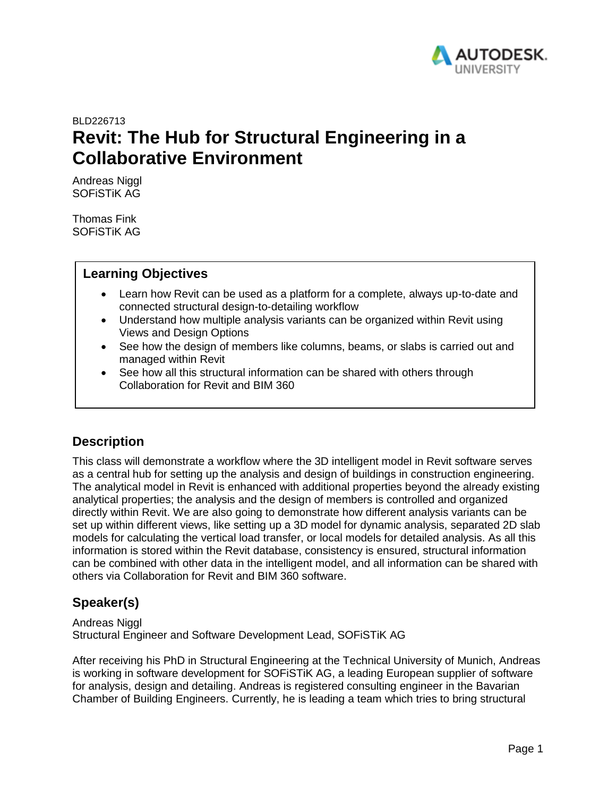

# BLD226713 **Revit: The Hub for Structural Engineering in a Collaborative Environment**

Andreas Niggl SOFiSTiK AG

Thomas Fink SOFiSTiK AG

### **Learning Objectives**

- Learn how Revit can be used as a platform for a complete, always up-to-date and connected structural design-to-detailing workflow
- Understand how multiple analysis variants can be organized within Revit using Views and Design Options
- See how the design of members like columns, beams, or slabs is carried out and managed within Revit
- See how all this structural information can be shared with others through Collaboration for Revit and BIM 360

## **Description**

This class will demonstrate a workflow where the 3D intelligent model in Revit software serves as a central hub for setting up the analysis and design of buildings in construction engineering. The analytical model in Revit is enhanced with additional properties beyond the already existing analytical properties; the analysis and the design of members is controlled and organized directly within Revit. We are also going to demonstrate how different analysis variants can be set up within different views, like setting up a 3D model for dynamic analysis, separated 2D slab models for calculating the vertical load transfer, or local models for detailed analysis. As all this information is stored within the Revit database, consistency is ensured, structural information can be combined with other data in the intelligent model, and all information can be shared with others via Collaboration for Revit and BIM 360 software.

## **Speaker(s)**

Andreas Niggl Structural Engineer and Software Development Lead, SOFiSTiK AG

After receiving his PhD in Structural Engineering at the Technical University of Munich, Andreas is working in software development for SOFiSTiK AG, a leading European supplier of software for analysis, design and detailing. Andreas is registered consulting engineer in the Bavarian Chamber of Building Engineers. Currently, he is leading a team which tries to bring structural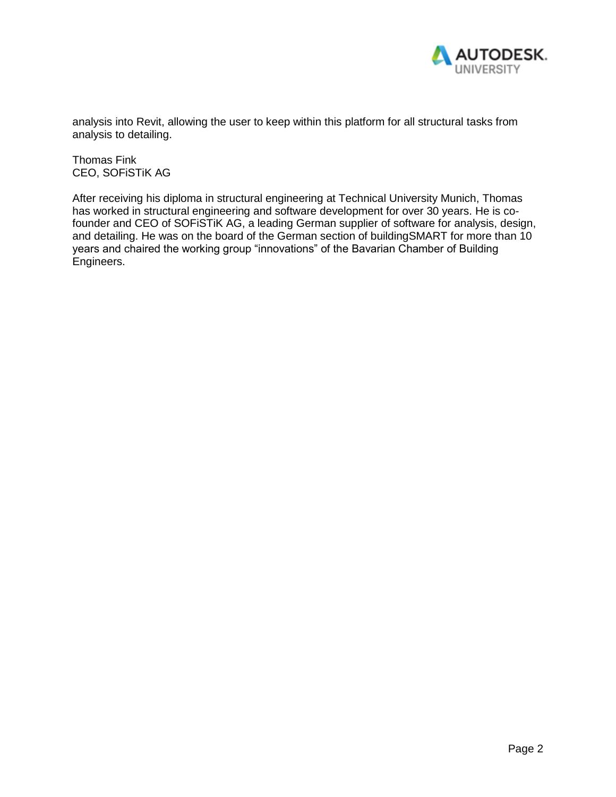

analysis into Revit, allowing the user to keep within this platform for all structural tasks from analysis to detailing.

Thomas Fink CEO, SOFiSTiK AG

After receiving his diploma in structural engineering at Technical University Munich, Thomas has worked in structural engineering and software development for over 30 years. He is cofounder and CEO of SOFiSTiK AG, a leading German supplier of software for analysis, design, and detailing. He was on the board of the German section of buildingSMART for more than 10 years and chaired the working group "innovations" of the Bavarian Chamber of Building Engineers.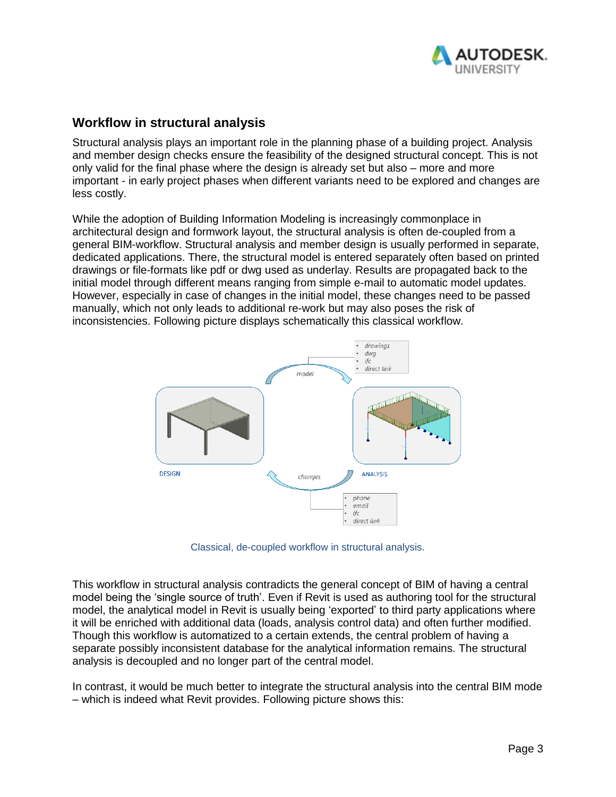

## **Workflow in structural analysis**

Structural analysis plays an important role in the planning phase of a building project. Analysis and member design checks ensure the feasibility of the designed structural concept. This is not only valid for the final phase where the design is already set but also – more and more important - in early project phases when different variants need to be explored and changes are less costly.

While the adoption of Building Information Modeling is increasingly commonplace in architectural design and formwork layout, the structural analysis is often de-coupled from a general BIM-workflow. Structural analysis and member design is usually performed in separate, dedicated applications. There, the structural model is entered separately often based on printed drawings or file-formats like pdf or dwg used as underlay. Results are propagated back to the initial model through different means ranging from simple e-mail to automatic model updates. However, especially in case of changes in the initial model, these changes need to be passed manually, which not only leads to additional re-work but may also poses the risk of inconsistencies. Following picture displays schematically this classical workflow.



Classical, de-coupled workflow in structural analysis.

This workflow in structural analysis contradicts the general concept of BIM of having a central model being the 'single source of truth'. Even if Revit is used as authoring tool for the structural model, the analytical model in Revit is usually being 'exported' to third party applications where it will be enriched with additional data (loads, analysis control data) and often further modified. Though this workflow is automatized to a certain extends, the central problem of having a separate possibly inconsistent database for the analytical information remains. The structural analysis is decoupled and no longer part of the central model.

In contrast, it would be much better to integrate the structural analysis into the central BIM mode – which is indeed what Revit provides. Following picture shows this: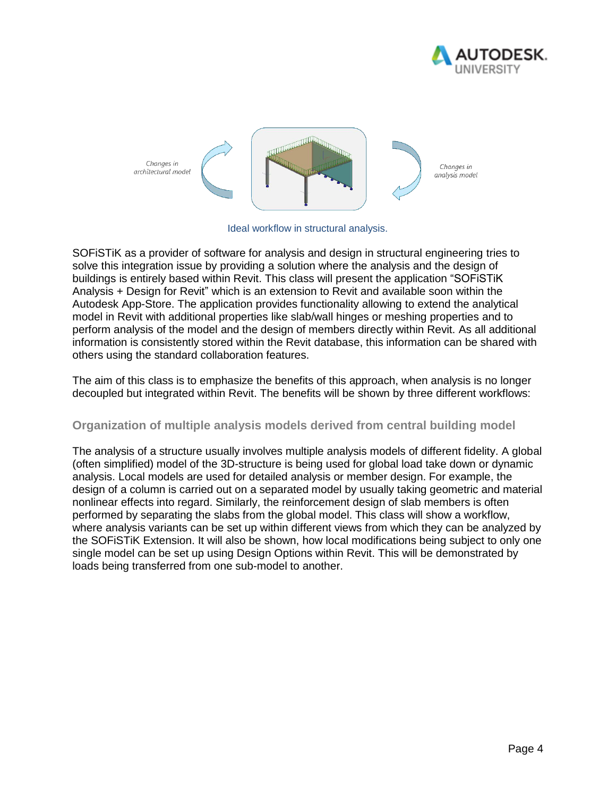



Ideal workflow in structural analysis.

SOFiSTiK as a provider of software for analysis and design in structural engineering tries to solve this integration issue by providing a solution where the analysis and the design of buildings is entirely based within Revit. This class will present the application "SOFiSTiK Analysis + Design for Revit" which is an extension to Revit and available soon within the Autodesk App-Store. The application provides functionality allowing to extend the analytical model in Revit with additional properties like slab/wall hinges or meshing properties and to perform analysis of the model and the design of members directly within Revit. As all additional information is consistently stored within the Revit database, this information can be shared with others using the standard collaboration features.

The aim of this class is to emphasize the benefits of this approach, when analysis is no longer decoupled but integrated within Revit. The benefits will be shown by three different workflows:

#### **Organization of multiple analysis models derived from central building model**

The analysis of a structure usually involves multiple analysis models of different fidelity. A global (often simplified) model of the 3D-structure is being used for global load take down or dynamic analysis. Local models are used for detailed analysis or member design. For example, the design of a column is carried out on a separated model by usually taking geometric and material nonlinear effects into regard. Similarly, the reinforcement design of slab members is often performed by separating the slabs from the global model. This class will show a workflow, where analysis variants can be set up within different views from which they can be analyzed by the SOFiSTiK Extension. It will also be shown, how local modifications being subject to only one single model can be set up using Design Options within Revit. This will be demonstrated by loads being transferred from one sub-model to another.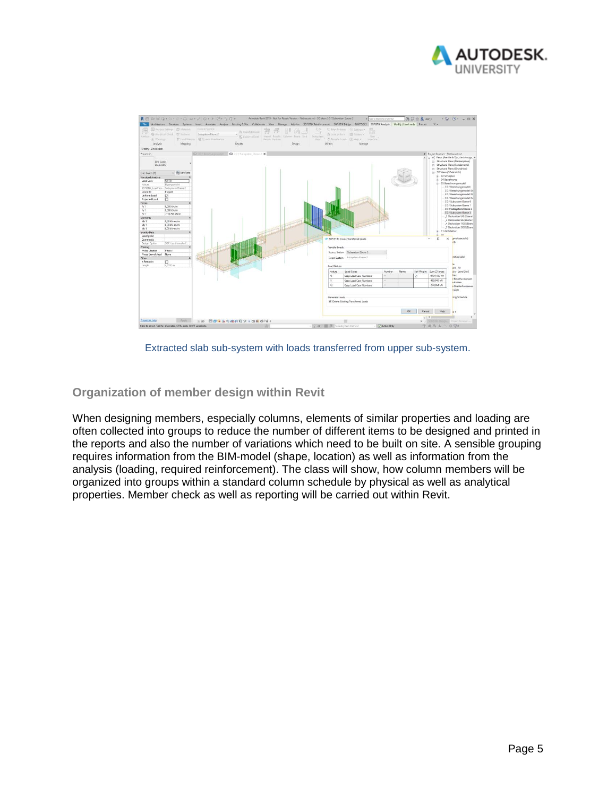



Extracted slab sub-system with loads transferred from upper sub-system.

#### **Organization of member design within Revit**

When designing members, especially columns, elements of similar properties and loading are often collected into groups to reduce the number of different items to be designed and printed in the reports and also the number of variations which need to be built on site. A sensible grouping requires information from the BIM-model (shape, location) as well as information from the analysis (loading, required reinforcement). The class will show, how column members will be organized into groups within a standard column schedule by physical as well as analytical properties. Member check as well as reporting will be carried out within Revit.